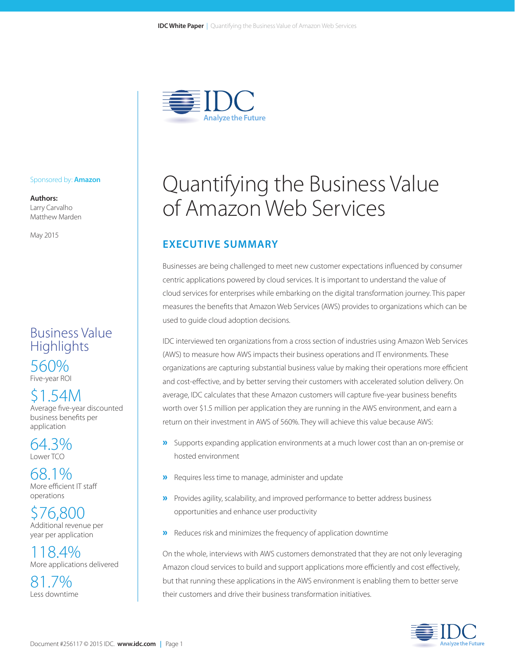

#### Sponsored by: **Amazon**

**Authors:** Larry Carvalho Matthew Marden

May 2015

### Business Value **Highlights** 560% Five-year ROI

\$1.54M Average five-year discounted business benefits per application

64.3% Lower TCO

68.1% More efficient IT staff operations

\$76,800 Additional revenue per year per application

118.4% More applications delivered

81.7% Less downtime

# Quantifying the Business Value of Amazon Web Services

### **EXECUTIVE SUMMARY**

Businesses are being challenged to meet new customer expectations influenced by consumer centric applications powered by cloud services. It is important to understand the value of cloud services for enterprises while embarking on the digital transformation journey. This paper measures the benefits that Amazon Web Services (AWS) provides to organizations which can be used to guide cloud adoption decisions.

IDC interviewed ten organizations from a cross section of industries using Amazon Web Services (AWS) to measure how AWS impacts their business operations and IT environments. These organizations are capturing substantial business value by making their operations more efficient and cost-effective, and by better serving their customers with accelerated solution delivery. On average, IDC calculates that these Amazon customers will capture five-year business benefits worth over \$1.5 million per application they are running in the AWS environment, and earn a return on their investment in AWS of 560%. They will achieve this value because AWS:

- »Supports expanding application environments at a much lower cost than an on-premise or hosted environment
- »Requires less time to manage, administer and update
- »Provides agility, scalability, and improved performance to better address business opportunities and enhance user productivity
- »Reduces risk and minimizes the frequency of application downtime

On the whole, interviews with AWS customers demonstrated that they are not only leveraging Amazon cloud services to build and support applications more efficiently and cost effectively, but that running these applications in the AWS environment is enabling them to better serve their customers and drive their business transformation initiatives.

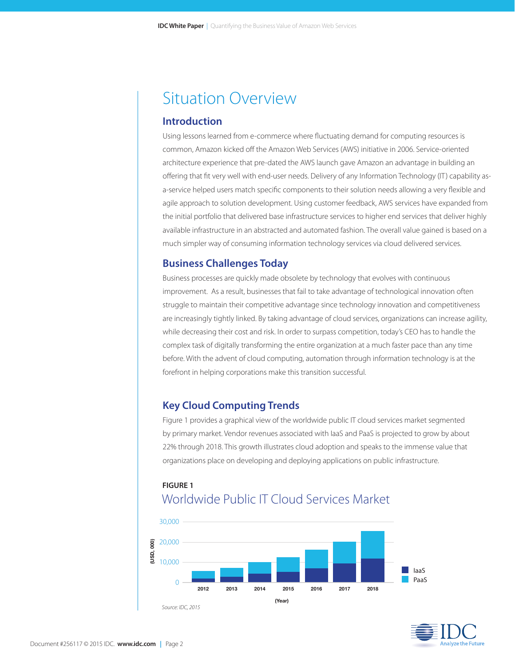## Situation Overview

#### **Introduction**

Using lessons learned from e-commerce where fluctuating demand for computing resources is common, Amazon kicked off the Amazon Web Services (AWS) initiative in 2006. Service-oriented architecture experience that pre-dated the AWS launch gave Amazon an advantage in building an offering that fit very well with end-user needs. Delivery of any Information Technology (IT) capability asa-service helped users match specific components to their solution needs allowing a very flexible and agile approach to solution development. Using customer feedback, AWS services have expanded from the initial portfolio that delivered base infrastructure services to higher end services that deliver highly available infrastructure in an abstracted and automated fashion. The overall value gained is based on a much simpler way of consuming information technology services via cloud delivered services.

#### **Business Challenges Today**

Business processes are quickly made obsolete by technology that evolves with continuous improvement. As a result, businesses that fail to take advantage of technological innovation often struggle to maintain their competitive advantage since technology innovation and competitiveness are increasingly tightly linked. By taking advantage of cloud services, organizations can increase agility, while decreasing their cost and risk. In order to surpass competition, today's CEO has to handle the complex task of digitally transforming the entire organization at a much faster pace than any time before. With the advent of cloud computing, automation through information technology is at the forefront in helping corporations make this transition successful.

#### **Key Cloud Computing Trends**

Figure 1 provides a graphical view of the worldwide public IT cloud services market segmented by primary market. Vendor revenues associated with IaaS and PaaS is projected to grow by about 22% through 2018. This growth illustrates cloud adoption and speaks to the immense value that organizations place on developing and deploying applications on public infrastructure.

### **FIGURE 1** Worldwide Public IT Cloud Services Market



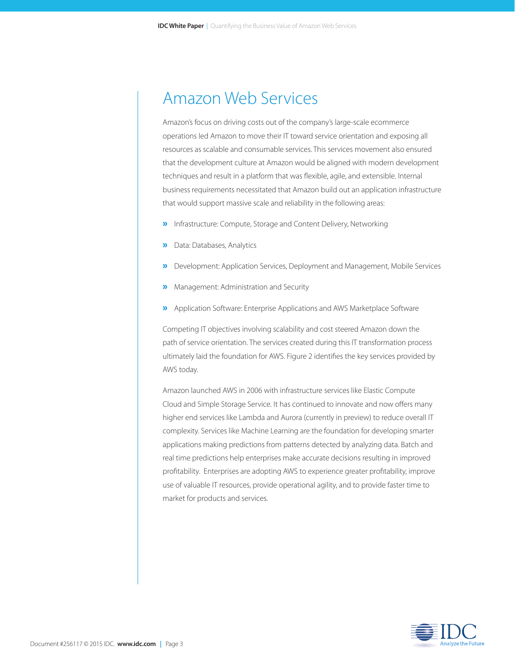### Amazon Web Services

Amazon's focus on driving costs out of the company's large-scale ecommerce operations led Amazon to move their IT toward service orientation and exposing all resources as scalable and consumable services. This services movement also ensured that the development culture at Amazon would be aligned with modern development techniques and result in a platform that was flexible, agile, and extensible. Internal business requirements necessitated that Amazon build out an application infrastructure that would support massive scale and reliability in the following areas:

- »Infrastructure: Compute, Storage and Content Delivery, Networking
- »Data: Databases, Analytics
- »Development: Application Services, Deployment and Management, Mobile Services
- »Management: Administration and Security
- »Application Software: Enterprise Applications and AWS Marketplace Software

Competing IT objectives involving scalability and cost steered Amazon down the path of service orientation. The services created during this IT transformation process ultimately laid the foundation for AWS. Figure 2 identifies the key services provided by AWS today.

Amazon launched AWS in 2006 with infrastructure services like Elastic Compute Cloud and Simple Storage Service. It has continued to innovate and now offers many higher end services like Lambda and Aurora (currently in preview) to reduce overall IT complexity. Services like Machine Learning are the foundation for developing smarter applications making predictions from patterns detected by analyzing data. Batch and real time predictions help enterprises make accurate decisions resulting in improved profitability. Enterprises are adopting AWS to experience greater profitability, improve use of valuable IT resources, provide operational agility, and to provide faster time to market for products and services.

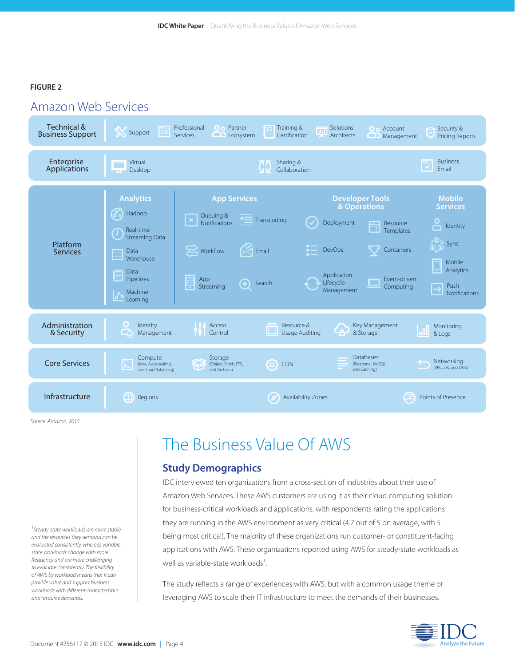#### **FIGURE 2**



*Source: Amazon, 2015*

*1 Steady-state workloads are more stable and the resources they demand can be evaluated consistently, whereas variablestate workloads change with more frequency and are more challenging to evaluate consistently. The flexibility of AWS by workload means that it can provide value and support business workloads with different characteristics and resource demands.* 

## The Business Value Of AWS

#### **Study Demographics**

IDC interviewed ten organizations from a cross-section of industries about their use of Amazon Web Services. These AWS customers are using it as their cloud computing solution for business-critical workloads and applications, with respondents rating the applications they are running in the AWS environment as very critical (4.7 out of 5 on average, with 5 being most critical). The majority of these organizations run customer- or constituent-facing applications with AWS. These organizations reported using AWS for steady-state workloads as well as variable-state workloads $^1$ . .

The study reflects a range of experiences with AWS, but with a common usage theme of leveraging AWS to scale their IT infrastructure to meet the demands of their businesses.

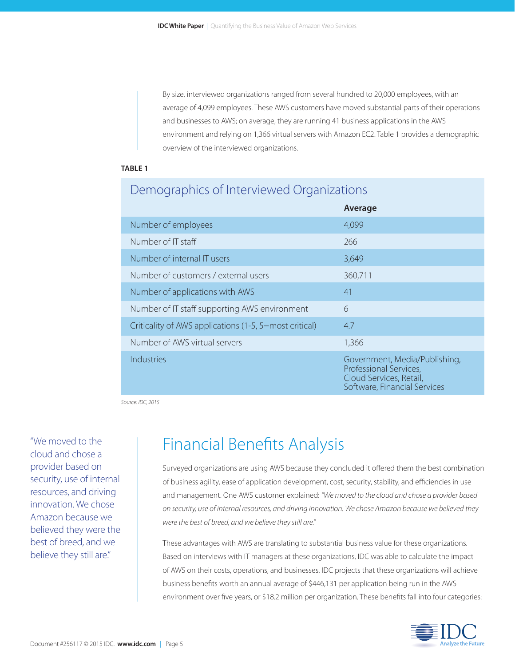By size, interviewed organizations ranged from several hundred to 20,000 employees, with an average of 4,099 employees. These AWS customers have moved substantial parts of their operations and businesses to AWS; on average, they are running 41 business applications in the AWS environment and relying on 1,366 virtual servers with Amazon EC2. Table 1 provides a demographic overview of the interviewed organizations.

#### **TABLE 1**

### Demographics of Interviewed Organizations

|                                                        | Average                                                                                                            |
|--------------------------------------------------------|--------------------------------------------------------------------------------------------------------------------|
| Number of employees                                    | 4,099                                                                                                              |
| Number of IT staff                                     | 266                                                                                                                |
| Number of internal IT users                            | 3,649                                                                                                              |
| Number of customers / external users                   | 360,711                                                                                                            |
| Number of applications with AWS                        | 41                                                                                                                 |
| Number of IT staff supporting AWS environment          | 6                                                                                                                  |
| Criticality of AWS applications (1-5, 5=most critical) | 4.7                                                                                                                |
| Number of AWS virtual servers                          | 1,366                                                                                                              |
| Industries                                             | Government, Media/Publishing,<br>Professional Services,<br>Cloud Services, Retail,<br>Software, Financial Services |

*Source: IDC, 2015*

"We moved to the cloud and chose a provider based on security, use of internal resources, and driving innovation. We chose Amazon because we believed they were the best of breed, and we believe they still are."

## Financial Benefits Analysis

Surveyed organizations are using AWS because they concluded it offered them the best combination of business agility, ease of application development, cost, security, stability, and efficiencies in use and management. One AWS customer explained: *"We moved to the cloud and chose a provider based on security, use of internal resources, and driving innovation. We chose Amazon because we believed they were the best of breed, and we believe they still are."* 

These advantages with AWS are translating to substantial business value for these organizations. Based on interviews with IT managers at these organizations, IDC was able to calculate the impact of AWS on their costs, operations, and businesses. IDC projects that these organizations will achieve business benefits worth an annual average of \$446,131 per application being run in the AWS environment over five years, or \$18.2 million per organization. These benefits fall into four categories:

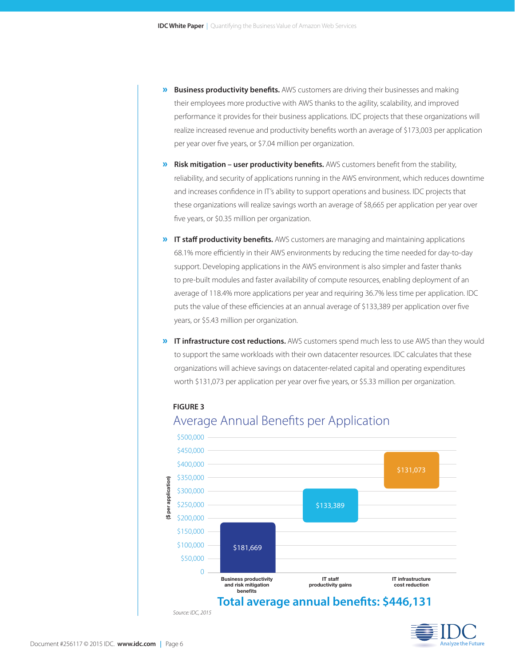- » **Business productivity benefits.** AWS customers are driving their businesses and making their employees more productive with AWS thanks to the agility, scalability, and improved performance it provides for their business applications. IDC projects that these organizations will realize increased revenue and productivity benefits worth an average of \$173,003 per application per year over five years, or \$7.04 million per organization.
- » **Risk mitigation user productivity benefits.** AWS customers benefit from the stability, reliability, and security of applications running in the AWS environment, which reduces downtime and increases confidence in IT's ability to support operations and business. IDC projects that these organizations will realize savings worth an average of \$8,665 per application per year over five years, or \$0.35 million per organization.
- » **IT staff productivity benefits.** AWS customers are managing and maintaining applications 68.1% more efficiently in their AWS environments by reducing the time needed for day-to-day support. Developing applications in the AWS environment is also simpler and faster thanks to pre-built modules and faster availability of compute resources, enabling deployment of an average of 118.4% more applications per year and requiring 36.7% less time per application. IDC puts the value of these efficiencies at an annual average of \$133,389 per application over five years, or \$5.43 million per organization.
- » **IT infrastructure cost reductions.** AWS customers spend much less to use AWS than they would to support the same workloads with their own datacenter resources. IDC calculates that these organizations will achieve savings on datacenter-related capital and operating expenditures worth \$131,073 per application per year over five years, or \$5.33 million per organization.

**FIGURE 3**





*Source: IDC, 2015*

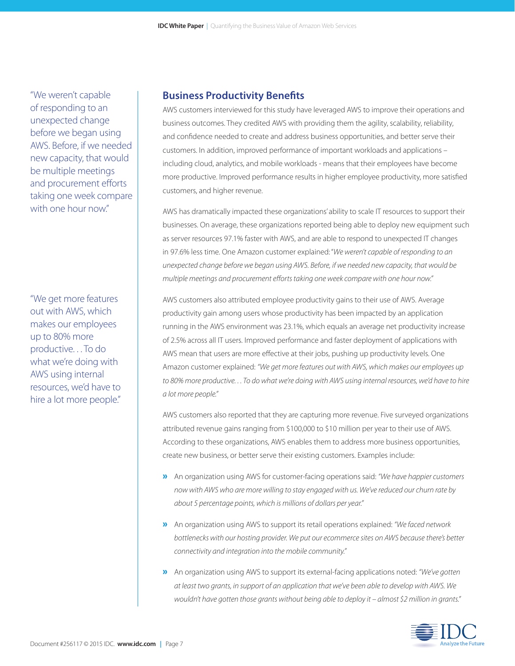"We weren't capable of responding to an unexpected change before we began using AWS. Before, if we needed new capacity, that would be multiple meetings and procurement efforts taking one week compare with one hour now."

"We get more features out with AWS, which makes our employees up to 80% more productive. . . To do what we're doing with AWS using internal resources, we'd have to hire a lot more people."

#### **Business Productivity Benefits**

AWS customers interviewed for this study have leveraged AWS to improve their operations and business outcomes. They credited AWS with providing them the agility, scalability, reliability, and confidence needed to create and address business opportunities, and better serve their customers. In addition, improved performance of important workloads and applications – including cloud, analytics, and mobile workloads - means that their employees have become more productive. Improved performance results in higher employee productivity, more satisfied customers, and higher revenue.

AWS has dramatically impacted these organizations' ability to scale IT resources to support their businesses. On average, these organizations reported being able to deploy new equipment such as server resources 97.1% faster with AWS, and are able to respond to unexpected IT changes in 97.6% less time. One Amazon customer explained: "*We weren't capable of responding to an unexpected change before we began using AWS. Before, if we needed new capacity, that would be multiple meetings and procurement efforts taking one week compare with one hour now."*

AWS customers also attributed employee productivity gains to their use of AWS. Average productivity gain among users whose productivity has been impacted by an application running in the AWS environment was 23.1%, which equals an average net productivity increase of 2.5% across all IT users. Improved performance and faster deployment of applications with AWS mean that users are more effective at their jobs, pushing up productivity levels. One Amazon customer explained: *"We get more features out with AWS, which makes our employees up*  to 80% more productive. . . To do what we're doing with AWS using internal resources, we'd have to hire *a lot more people."* 

AWS customers also reported that they are capturing more revenue. Five surveyed organizations attributed revenue gains ranging from \$100,000 to \$10 million per year to their use of AWS. According to these organizations, AWS enables them to address more business opportunities, create new business, or better serve their existing customers. Examples include:

- »An organization using AWS for customer-facing operations said: *"We have happier customers now with AWS who are more willing to stay engaged with us. We've reduced our churn rate by about 5 percentage points, which is millions of dollars per year."*
- »An organization using AWS to support its retail operations explained: *"We faced network bottlenecks with our hosting provider. We put our ecommerce sites on AWS because there's better connectivity and integration into the mobile community."*
- »An organization using AWS to support its external-facing applications noted: *"We've gotten at least two grants, in support of an application that we've been able to develop with AWS. We wouldn't have gotten those grants without being able to deploy it – almost \$2 million in grants."*

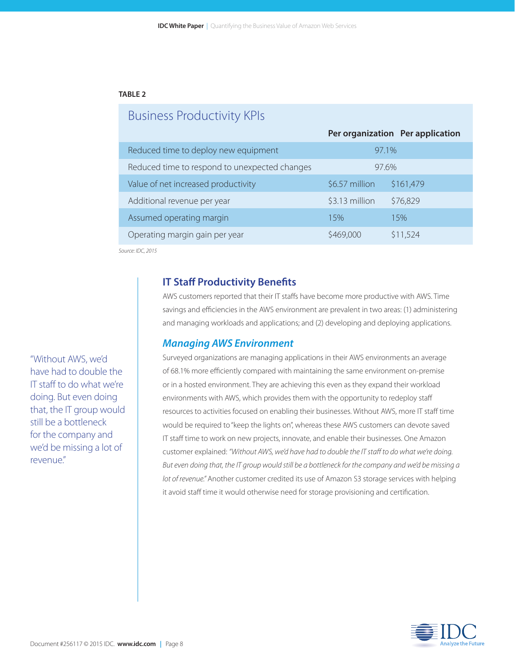#### **TABLE 2**

### Business Productivity KPIs

|                                               |                | Per organization Per application |
|-----------------------------------------------|----------------|----------------------------------|
| Reduced time to deploy new equipment          |                | 97.1%                            |
| Reduced time to respond to unexpected changes |                | 97.6%                            |
| Value of net increased productivity           | \$6.57 million | \$161,479                        |
| Additional revenue per year                   | \$3.13 million | \$76,829                         |
| Assumed operating margin                      | 15%            | 15%                              |
| Operating margin gain per year                | \$469,000      | \$11,524                         |
|                                               |                |                                  |

*Source: IDC, 2015*

#### **IT Staff Productivity Benefits**

AWS customers reported that their IT staffs have become more productive with AWS. Time savings and efficiencies in the AWS environment are prevalent in two areas: (1) administering and managing workloads and applications; and (2) developing and deploying applications.

#### *Managing AWS Environment*

Surveyed organizations are managing applications in their AWS environments an average of 68.1% more efficiently compared with maintaining the same environment on-premise or in a hosted environment. They are achieving this even as they expand their workload environments with AWS, which provides them with the opportunity to redeploy staff resources to activities focused on enabling their businesses. Without AWS, more IT staff time would be required to "keep the lights on", whereas these AWS customers can devote saved IT staff time to work on new projects, innovate, and enable their businesses. One Amazon customer explained: *"Without AWS, we'd have had to double the IT staff to do what we're doing. But even doing that, the IT group would still be a bottleneck for the company and we'd be missing a lot of revenue."* Another customer credited its use of Amazon S3 storage services with helping it avoid staff time it would otherwise need for storage provisioning and certification.

"Without AWS, we'd have had to double the IT staff to do what we're doing. But even doing that, the IT group would still be a bottleneck for the company and we'd be missing a lot of revenue."

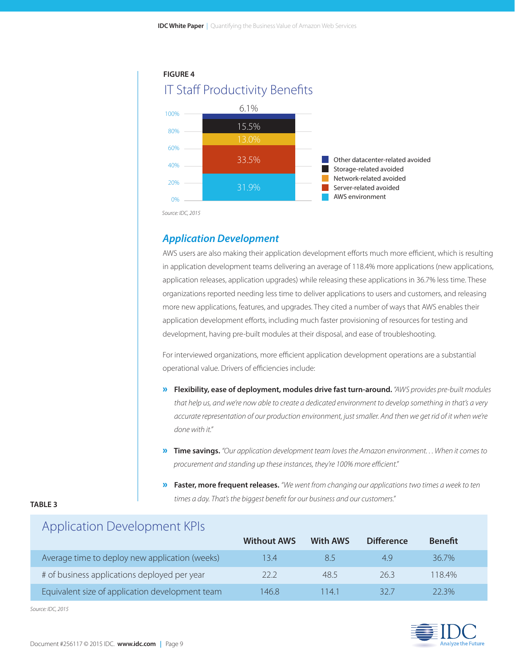

*Source: IDC, 2015*

#### *Application Development*

AWS users are also making their application development efforts much more efficient, which is resulting in application development teams delivering an average of 118.4% more applications (new applications, application releases, application upgrades) while releasing these applications in 36.7% less time. These organizations reported needing less time to deliver applications to users and customers, and releasing more new applications, features, and upgrades. They cited a number of ways that AWS enables their application development efforts, including much faster provisioning of resources for testing and development, having pre-built modules at their disposal, and ease of troubleshooting.

For interviewed organizations, more efficient application development operations are a substantial operational value. Drivers of efficiencies include:

- » **Flexibility, ease of deployment, modules drive fast turn-around.** *"AWS provides pre-built modules that help us, and we're now able to create a dedicated environment to develop something in that's a very accurate representation of our production environment, just smaller. And then we get rid of it when we're done with it."*
- » **Time savings.** *"Our application development team loves the Amazon environment. . . When it comes to procurement and standing up these instances, they're 100% more efficient."*
- » **Faster, more frequent releases.** *"We went from changing our applications two times a week to ten times a day. That's the biggest benefit for our business and our customers."*

#### **TABLE 3**

### Application Development KPIs

|                                                 | <b>Without AWS</b> | <b>With AWS</b> | <b>Difference</b> | <b>Benefit</b> |  |
|-------------------------------------------------|--------------------|-----------------|-------------------|----------------|--|
| Average time to deploy new application (weeks)  | 13.4               |                 | 4.9               | $36.7\%$       |  |
| # of business applications deployed per year    | 22.2               | 48.5            | 26.3              | 118.4%         |  |
| Equivalent size of application development team | 146.8              | 1141            | 32 Z              | 22.3%          |  |

*Source: IDC, 2015*

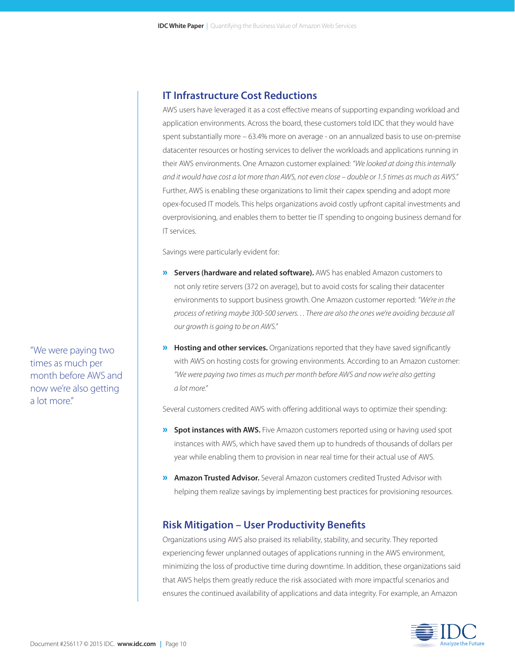#### **IT Infrastructure Cost Reductions**

AWS users have leveraged it as a cost effective means of supporting expanding workload and application environments. Across the board, these customers told IDC that they would have spent substantially more – 63.4% more on average - on an annualized basis to use on-premise datacenter resources or hosting services to deliver the workloads and applications running in their AWS environments. One Amazon customer explained: *"We looked at doing this internally and it would have cost a lot more than AWS, not even close – double or 1.5 times as much as AWS."*  Further, AWS is enabling these organizations to limit their capex spending and adopt more opex-focused IT models. This helps organizations avoid costly upfront capital investments and overprovisioning, and enables them to better tie IT spending to ongoing business demand for IT services.

Savings were particularly evident for:

- » **Servers (hardware and related software).** AWS has enabled Amazon customers to not only retire servers (372 on average), but to avoid costs for scaling their datacenter environments to support business growth. One Amazon customer reported: *"We're in the process of retiring maybe 300-500 servers. . . There are also the ones we're avoiding because all our growth is going to be on AWS."*
- » **Hosting and other services.** Organizations reported that they have saved significantly with AWS on hosting costs for growing environments. According to an Amazon customer: *"We were paying two times as much per month before AWS and now we're also getting a lot more."*

Several customers credited AWS with offering additional ways to optimize their spending:

- **»** Spot instances with AWS. Five Amazon customers reported using or having used spot instances with AWS, which have saved them up to hundreds of thousands of dollars per year while enabling them to provision in near real time for their actual use of AWS.
- » **Amazon Trusted Advisor.** Several Amazon customers credited Trusted Advisor with helping them realize savings by implementing best practices for provisioning resources.

#### **Risk Mitigation – User Productivity Benefits**

Organizations using AWS also praised its reliability, stability, and security. They reported experiencing fewer unplanned outages of applications running in the AWS environment, minimizing the loss of productive time during downtime. In addition, these organizations said that AWS helps them greatly reduce the risk associated with more impactful scenarios and ensures the continued availability of applications and data integrity. For example, an Amazon



"We were paying two times as much per month before AWS and now we're also getting a lot more."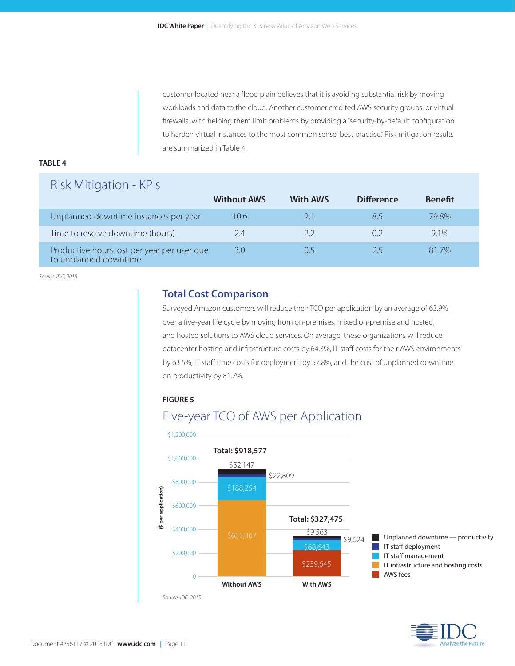customer located near a flood plain believes that it is avoiding substantial risk by moving workloads and data to the cloud. Another customer credited AWS security groups, or virtual firewalls, with helping them limit problems by providing a "security-by-default configuration to harden virtual instances to the most common sense, best practice." Risk mitigation results are summarized in Table 4.

#### **TABLE 4**

### Risk Mitigation - KPIs

|                                                                      | <b>Without AWS</b> | <b>With AWS</b> | <b>Difference</b> | <b>Benefit</b> |
|----------------------------------------------------------------------|--------------------|-----------------|-------------------|----------------|
| Unplanned downtime instances per year                                | 10.6               | 21              | 85                | 79.8%          |
| Time to resolve downtime (hours)                                     | 7.4                | 22              |                   | $9.1\%$        |
| Productive hours lost per year per user due<br>to unplanned downtime | 3.0                |                 |                   | 81 7%          |

*Source: IDC, 2015*

#### **Total Cost Comparison**

Surveyed Amazon customers will reduce their TCO per application by an average of 63.9% over a five-year life cycle by moving from on-premises, mixed on-premise and hosted, and hosted solutions to AWS cloud services. On average, these organizations will reduce datacenter hosting and infrastructure costs by 64.3%, IT staff costs for their AWS environments by 63.5%, IT staff time costs for deployment by 57.8%, and the cost of unplanned downtime on productivity by 81.7%.

**FIGURE 5**





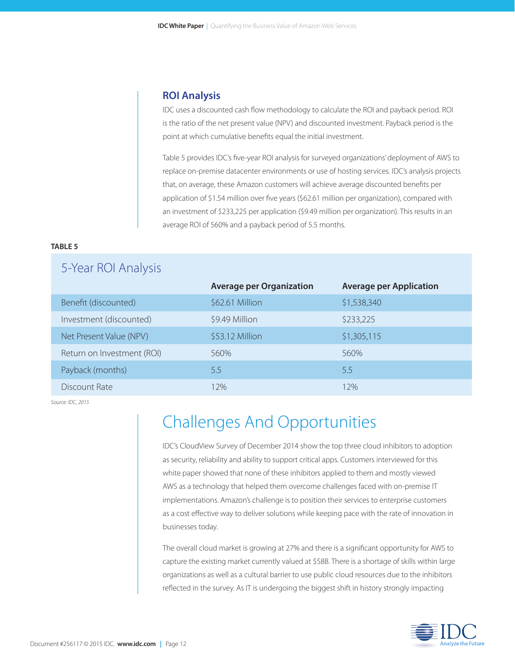#### **ROI Analysis**

IDC uses a discounted cash flow methodology to calculate the ROI and payback period. ROI is the ratio of the net present value (NPV) and discounted investment. Payback period is the point at which cumulative benefits equal the initial investment.

Table 5 provides IDC's five-year ROI analysis for surveyed organizations' deployment of AWS to replace on-premise datacenter environments or use of hosting services. IDC's analysis projects that, on average, these Amazon customers will achieve average discounted benefits per application of \$1.54 million over five years (\$62.61 million per organization), compared with an investment of \$233,225 per application (\$9.49 million per organization). This results in an average ROI of 560% and a payback period of 5.5 months.

#### **TABLE 5**

5-Year ROI Analysis

| J-Tedi NUI AHdiySiS        |                                 |                                |
|----------------------------|---------------------------------|--------------------------------|
|                            | <b>Average per Organization</b> | <b>Average per Application</b> |
| Benefit (discounted)       | \$62.61 Million                 | \$1,538,340                    |
| Investment (discounted)    | \$9.49 Million                  | \$233,225                      |
| Net Present Value (NPV)    | \$53.12 Million                 | \$1,305,115                    |
| Return on Investment (ROI) | 560%                            | 560%                           |
| Payback (months)           | 5.5                             | 5.5                            |
| Discount Rate              | 2%                              | 12%                            |

*Source: IDC, 2015*

## Challenges And Opportunities

IDC's CloudView Survey of December 2014 show the top three cloud inhibitors to adoption as security, reliability and ability to support critical apps. Customers interviewed for this white paper showed that none of these inhibitors applied to them and mostly viewed AWS as a technology that helped them overcome challenges faced with on-premise IT implementations. Amazon's challenge is to position their services to enterprise customers as a cost effective way to deliver solutions while keeping pace with the rate of innovation in businesses today.

The overall cloud market is growing at 27% and there is a significant opportunity for AWS to capture the existing market currently valued at \$58B. There is a shortage of skills within large organizations as well as a cultural barrier to use public cloud resources due to the inhibitors reflected in the survey. As IT is undergoing the biggest shift in history strongly impacting

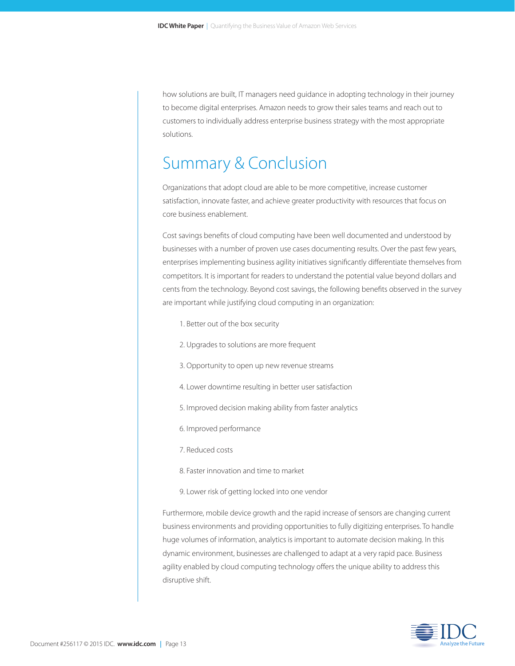how solutions are built, IT managers need guidance in adopting technology in their journey to become digital enterprises. Amazon needs to grow their sales teams and reach out to customers to individually address enterprise business strategy with the most appropriate solutions.

## Summary & Conclusion

Organizations that adopt cloud are able to be more competitive, increase customer satisfaction, innovate faster, and achieve greater productivity with resources that focus on core business enablement.

Cost savings benefits of cloud computing have been well documented and understood by businesses with a number of proven use cases documenting results. Over the past few years, enterprises implementing business agility initiatives significantly differentiate themselves from competitors. It is important for readers to understand the potential value beyond dollars and cents from the technology. Beyond cost savings, the following benefits observed in the survey are important while justifying cloud computing in an organization:

- 1. Better out of the box security
- 2. Upgrades to solutions are more frequent
- 3. Opportunity to open up new revenue streams
- 4. Lower downtime resulting in better user satisfaction
- 5. Improved decision making ability from faster analytics
- 6. Improved performance
- 7. Reduced costs
- 8. Faster innovation and time to market
- 9. Lower risk of getting locked into one vendor

Furthermore, mobile device growth and the rapid increase of sensors are changing current business environments and providing opportunities to fully digitizing enterprises. To handle huge volumes of information, analytics is important to automate decision making. In this dynamic environment, businesses are challenged to adapt at a very rapid pace. Business agility enabled by cloud computing technology offers the unique ability to address this disruptive shift.

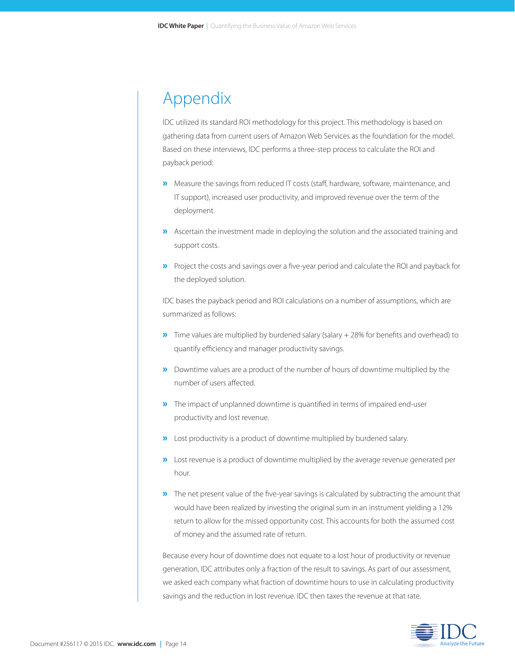## Appendix

IDC utilized its standard ROI methodology for this project. This methodology is based on gathering data from current users of Amazon Web Services as the foundation for the model. Based on these interviews, IDC performs a three-step process to calculate the ROI and payback period:

- »Measure the savings from reduced IT costs (staff, hardware, software, maintenance, and IT support), increased user productivity, and improved revenue over the term of the deployment.
- »Ascertain the investment made in deploying the solution and the associated training and support costs.
- »Project the costs and savings over a five-year period and calculate the ROI and payback for the deployed solution.

IDC bases the payback period and ROI calculations on a number of assumptions, which are summarized as follows:

- »Time values are multiplied by burdened salary (salary + 28% for benefits and overhead) to quantify efficiency and manager productivity savings.
- »Downtime values are a product of the number of hours of downtime multiplied by the number of users affected.
- »The impact of unplanned downtime is quantified in terms of impaired end-user productivity and lost revenue.
- »Lost productivity is a product of downtime multiplied by burdened salary.
- »Lost revenue is a product of downtime multiplied by the average revenue generated per hour.
- **»** The net present value of the five-year savings is calculated by subtracting the amount that would have been realized by investing the original sum in an instrument yielding a 12% return to allow for the missed opportunity cost. This accounts for both the assumed cost of money and the assumed rate of return.

Because every hour of downtime does not equate to a lost hour of productivity or revenue generation, IDC attributes only a fraction of the result to savings. As part of our assessment, we asked each company what fraction of downtime hours to use in calculating productivity savings and the reduction in lost revenue. IDC then taxes the revenue at that rate.